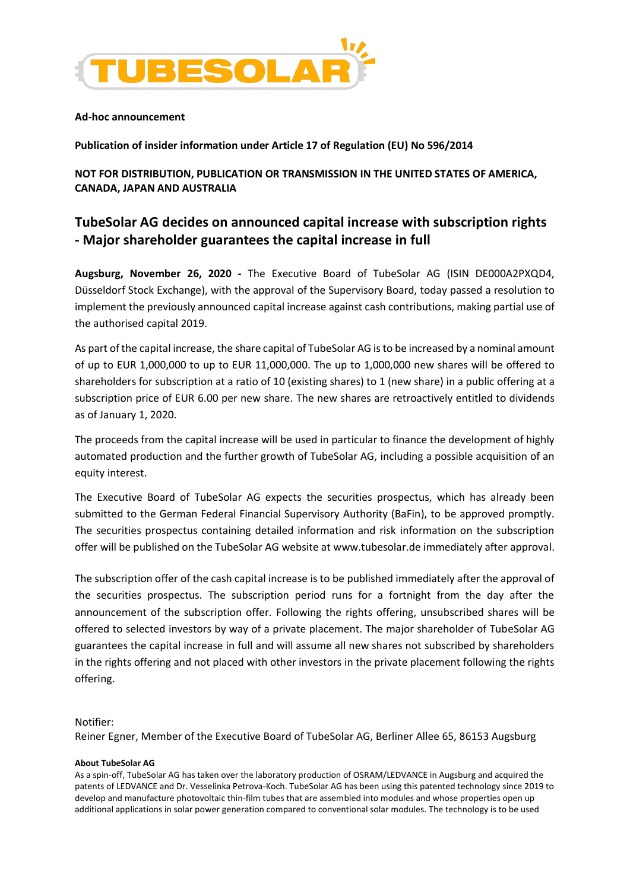

## **Ad-hoc announcement**

**Publication of insider information under Article 17 of Regulation (EU) No 596/2014** 

**NOT FOR DISTRIBUTION, PUBLICATION OR TRANSMISSION IN THE UNITED STATES OF AMERICA, CANADA, JAPAN AND AUSTRALIA** 

# **TubeSolar AG decides on announced capital increase with subscription rights - Major shareholder guarantees the capital increase in full**

**Augsburg, November 26, 2020 -** The Executive Board of TubeSolar AG (ISIN DE000A2PXQD4, Düsseldorf Stock Exchange), with the approval of the Supervisory Board, today passed a resolution to implement the previously announced capital increase against cash contributions, making partial use of the authorised capital 2019.

As part of the capital increase, the share capital of TubeSolar AG is to be increased by a nominal amount of up to EUR 1,000,000 to up to EUR 11,000,000. The up to 1,000,000 new shares will be offered to shareholders for subscription at a ratio of 10 (existing shares) to 1 (new share) in a public offering at a subscription price of EUR 6.00 per new share. The new shares are retroactively entitled to dividends as of January 1, 2020.

The proceeds from the capital increase will be used in particular to finance the development of highly automated production and the further growth of TubeSolar AG, including a possible acquisition of an equity interest.

The Executive Board of TubeSolar AG expects the securities prospectus, which has already been submitted to the German Federal Financial Supervisory Authority (BaFin), to be approved promptly. The securities prospectus containing detailed information and risk information on the subscription offer will be published on the TubeSolar AG website at www.tubesolar.de immediately after approval.

The subscription offer of the cash capital increase is to be published immediately after the approval of the securities prospectus. The subscription period runs for a fortnight from the day after the announcement of the subscription offer. Following the rights offering, unsubscribed shares will be offered to selected investors by way of a private placement. The major shareholder of TubeSolar AG guarantees the capital increase in full and will assume all new shares not subscribed by shareholders in the rights offering and not placed with other investors in the private placement following the rights offering.

# Notifier:

Reiner Egner, Member of the Executive Board of TubeSolar AG, Berliner Allee 65, 86153 Augsburg

## **About TubeSolar AG**

As a spin-off, TubeSolar AG has taken over the laboratory production of OSRAM/LEDVANCE in Augsburg and acquired the patents of LEDVANCE and Dr. Vesselinka Petrova-Koch. TubeSolar AG has been using this patented technology since 2019 to develop and manufacture photovoltaic thin-film tubes that are assembled into modules and whose properties open up additional applications in solar power generation compared to conventional solar modules. The technology is to be used